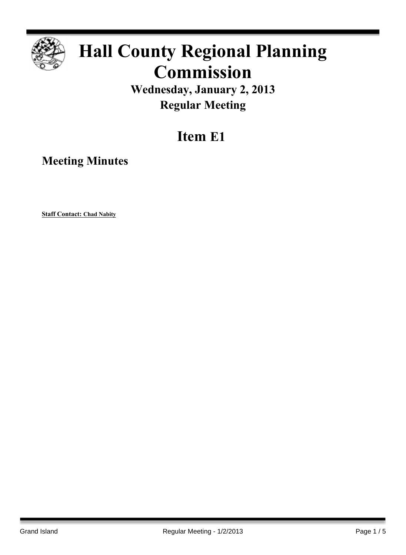

# **Hall County Regional Planning Commission**

**Wednesday, January 2, 2013 Regular Meeting**

# **Item E1**

**Meeting Minutes**

**Staff Contact: Chad Nabity**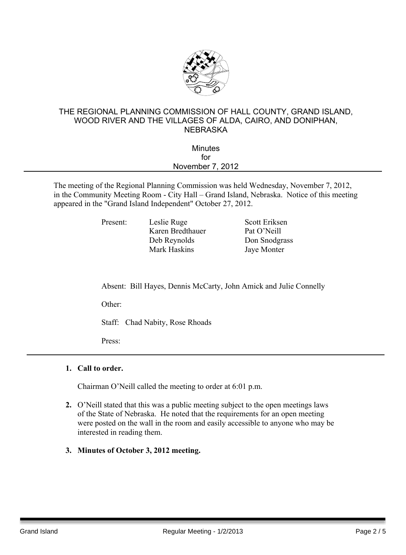

#### THE REGIONAL PLANNING COMMISSION OF HALL COUNTY, GRAND ISLAND, WOOD RIVER AND THE VILLAGES OF ALDA, CAIRO, AND DONIPHAN, **NEBRASKA**

| <b>Minutes</b>   |  |
|------------------|--|
| for              |  |
| November 7, 2012 |  |
|                  |  |

The meeting of the Regional Planning Commission was held Wednesday, November 7, 2012, in the Community Meeting Room - City Hall – Grand Island, Nebraska. Notice of this meeting appeared in the "Grand Island Independent" October 27, 2012.

Karen Bredthauer Pat O'Neill Deb Reynolds Don Snodgrass Mark Haskins Jaye Monter

Present: Leslie Ruge Scott Eriksen

Absent: Bill Hayes, Dennis McCarty, John Amick and Julie Connelly

Other:

Staff: Chad Nabity, Rose Rhoads

Press:

#### **1. Call to order.**

Chairman O'Neill called the meeting to order at 6:01 p.m.

- **2.** O'Neill stated that this was a public meeting subject to the open meetings laws of the State of Nebraska. He noted that the requirements for an open meeting were posted on the wall in the room and easily accessible to anyone who may be interested in reading them.
- **3. Minutes of October 3, 2012 meeting.**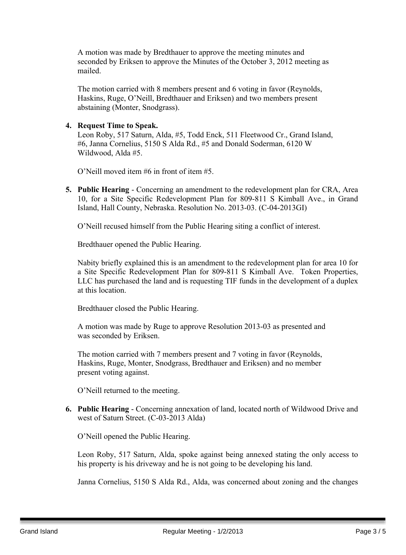A motion was made by Bredthauer to approve the meeting minutes and seconded by Eriksen to approve the Minutes of the October 3, 2012 meeting as mailed.

The motion carried with 8 members present and 6 voting in favor (Reynolds, Haskins, Ruge, O'Neill, Bredthauer and Eriksen) and two members present abstaining (Monter, Snodgrass).

#### **4. Request Time to Speak.**

Leon Roby, 517 Saturn, Alda, #5, Todd Enck, 511 Fleetwood Cr., Grand Island, #6, Janna Cornelius, 5150 S Alda Rd., #5 and Donald Soderman, 6120 W Wildwood, Alda #5.

O'Neill moved item #6 in front of item #5.

**5. Public Hearing** - Concerning an amendment to the redevelopment plan for CRA, Area 10, for a Site Specific Redevelopment Plan for 809-811 S Kimball Ave., in Grand Island, Hall County, Nebraska. Resolution No. 2013-03. (C-04-2013GI)

O'Neill recused himself from the Public Hearing siting a conflict of interest.

Bredthauer opened the Public Hearing.

Nabity briefly explained this is an amendment to the redevelopment plan for area 10 for a Site Specific Redevelopment Plan for 809-811 S Kimball Ave. Token Properties, LLC has purchased the land and is requesting TIF funds in the development of a duplex at this location.

Bredthauer closed the Public Hearing.

A motion was made by Ruge to approve Resolution 2013-03 as presented and was seconded by Eriksen.

The motion carried with 7 members present and 7 voting in favor (Reynolds, Haskins, Ruge, Monter, Snodgrass, Bredthauer and Eriksen) and no member present voting against.

O'Neill returned to the meeting.

**6. Public Hearing** - Concerning annexation of land, located north of Wildwood Drive and west of Saturn Street. (C-03-2013 Alda)

O'Neill opened the Public Hearing.

Leon Roby, 517 Saturn, Alda, spoke against being annexed stating the only access to his property is his driveway and he is not going to be developing his land.

Janna Cornelius, 5150 S Alda Rd., Alda, was concerned about zoning and the changes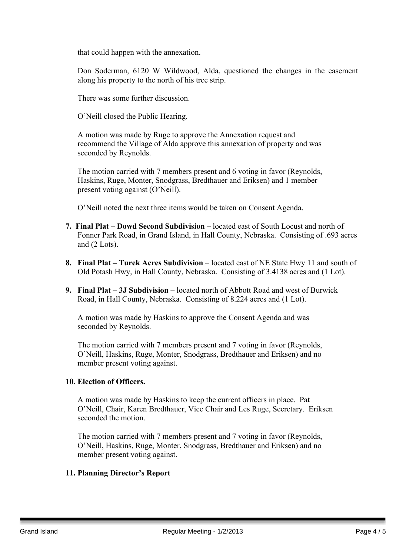that could happen with the annexation.

Don Soderman, 6120 W Wildwood, Alda, questioned the changes in the easement along his property to the north of his tree strip.

There was some further discussion.

O'Neill closed the Public Hearing.

A motion was made by Ruge to approve the Annexation request and recommend the Village of Alda approve this annexation of property and was seconded by Reynolds.

The motion carried with 7 members present and 6 voting in favor (Reynolds, Haskins, Ruge, Monter, Snodgrass, Bredthauer and Eriksen) and 1 member present voting against (O'Neill).

O'Neill noted the next three items would be taken on Consent Agenda.

- **7. Final Plat – Dowd Second Subdivision –** located east of South Locust and north of Fonner Park Road, in Grand Island, in Hall County, Nebraska. Consisting of .693 acres and (2 Lots).
- **8. Final Plat – Turek Acres Subdivision** located east of NE State Hwy 11 and south of Old Potash Hwy, in Hall County, Nebraska. Consisting of 3.4138 acres and (1 Lot).
- **9. Final Plat – 3J Subdivision** located north of Abbott Road and west of Burwick Road, in Hall County, Nebraska. Consisting of 8.224 acres and (1 Lot).

A motion was made by Haskins to approve the Consent Agenda and was seconded by Reynolds.

The motion carried with 7 members present and 7 voting in favor (Reynolds, O'Neill, Haskins, Ruge, Monter, Snodgrass, Bredthauer and Eriksen) and no member present voting against.

#### **10. Election of Officers.**

A motion was made by Haskins to keep the current officers in place. Pat O'Neill, Chair, Karen Bredthauer, Vice Chair and Les Ruge, Secretary. Eriksen seconded the motion.

The motion carried with 7 members present and 7 voting in favor (Reynolds, O'Neill, Haskins, Ruge, Monter, Snodgrass, Bredthauer and Eriksen) and no member present voting against.

#### **11. Planning Director's Report**